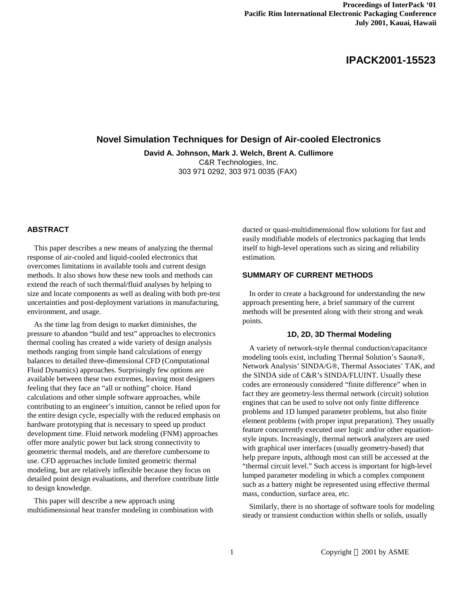# **IPACK2001-15523**

# **Novel Simulation Techniques for Design of Air-cooled Electronics**

**David A. Johnson, Mark J. Welch, Brent A. Cullimore**

C&R Technologies, Inc. 303 971 0292, 303 971 0035 (FAX)

#### **ABSTRACT**

This paper describes a new means of analyzing the thermal response of air-cooled and liquid-cooled electronics that overcomes limitations in available tools and current design methods. It also shows how these new tools and methods can extend the reach of such thermal/fluid analyses by helping to size and locate components as well as dealing with both pre-test uncertainties and post-deployment variations in manufacturing, environment, and usage.

As the time lag from design to market diminishes, the pressure to abandon "build and test" approaches to electronics thermal cooling has created a wide variety of design analysis methods ranging from simple hand calculations of energy balances to detailed three-dimensional CFD (Computational Fluid Dynamics) approaches. Surprisingly few options are available between these two extremes, leaving most designers feeling that they face an "all or nothing" choice. Hand calculations and other simple software approaches, while contributing to an engineer's intuition, cannot be relied upon for the entire design cycle, especially with the reduced emphasis on hardware prototyping that is necessary to speed up product development time. Fluid network modeling (FNM) approaches offer more analytic power but lack strong connectivity to geometric thermal models, and are therefore cumbersome to use. CFD approaches include limited geometric thermal modeling, but are relatively inflexible because they focus on detailed point design evaluations, and therefore contribute little to design knowledge.

This paper will describe a new approach using multidimensional heat transfer modeling in combination with

ducted or quasi-multidimensional flow solutions for fast and easily modifiable models of electronics packaging that lends itself to high-level operations such as sizing and reliability estimation.

# **SUMMARY OF CURRENT METHODS**

In order to create a background for understanding the new approach presenting here, a brief summary of the current methods will be presented along with their strong and weak points.

# **1D, 2D, 3D Thermal Modeling**

A variety of network-style thermal conduction/capacitance modeling tools exist, including Thermal Solution's Sauna®, Network Analysis' SINDA/G®, Thermal Associates' TAK, and the SINDA side of C&R's SINDA/FLUINT. Usually these codes are erroneously considered "finite difference" when in fact they are geometry-less thermal network (circuit) solution engines that can be used to solve not only finite difference problems and 1D lumped parameter problems, but also finite element problems (with proper input preparation). They usually feature concurrently executed user logic and/or other equationstyle inputs. Increasingly, thermal network analyzers are used with graphical user interfaces (usually geometry-based) that help prepare inputs, although most can still be accessed at the "thermal circuit level." Such access is important for high-level lumped parameter modeling in which a complex component such as a battery might be represented using effective thermal mass, conduction, surface area, etc.

Similarly, there is no shortage of software tools for modeling steady or transient conduction within shells or solids, usually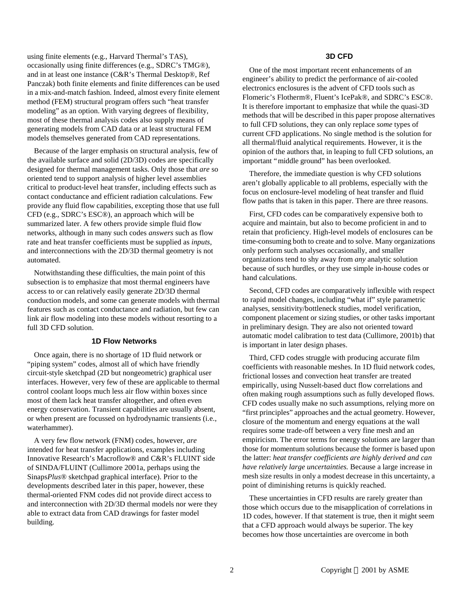using finite elements (e.g., Harvard Thermal's TAS), occasionally using finite differences (e.g., SDRC's TMG®), and in at least one instance (C&R's Thermal Desktop®, Ref Panczak) both finite elements and finite differences can be used in a mix-and-match fashion. Indeed, almost every finite element method (FEM) structural program offers such "heat transfer modeling" as an option. With varying degrees of flexibility, most of these thermal analysis codes also supply means of generating models from CAD data or at least structural FEM models themselves generated from CAD representations.

Because of the larger emphasis on structural analysis, few of the available surface and solid (2D/3D) codes are specifically designed for thermal management tasks. Only those that *are* so oriented tend to support analysis of higher level assemblies critical to product-level heat transfer, including effects such as contact conductance and efficient radiation calculations. Few provide any fluid flow capabilities, excepting those that use full CFD (e.g., SDRC's ESC®), an approach which will be summarized later. A few others provide simple fluid flow networks, although in many such codes *answers* such as flow rate and heat transfer coefficients must be supplied as *inputs*, and interconnections with the 2D/3D thermal geometry is not automated.

Notwithstanding these difficulties, the main point of this subsection is to emphasize that most thermal engineers have access to or can relatively easily generate 2D/3D thermal conduction models, and some can generate models with thermal features such as contact conductance and radiation, but few can link air flow modeling into these models without resorting to a full 3D CFD solution.

## **1D Flow Networks**

Once again, there is no shortage of 1D fluid network or "piping system" codes, almost all of which have friendly circuit-style sketchpad (2D but nongeometric) graphical user interfaces. However, very few of these are applicable to thermal control coolant loops much less air flow within boxes since most of them lack heat transfer altogether, and often even energy conservation. Transient capabilities are usually absent, or when present are focussed on hydrodynamic transients (i.e., waterhammer).

A very few flow network (FNM) codes, however, *are* intended for heat transfer applications, examples including Innovative Research's Macroflow® and C&R's FLUINT side of SINDA/FLUINT (Cullimore 2001a, perhaps using the Sinaps*Plus*® sketchpad graphical interface). Prior to the developments described later in this paper, however, these thermal-oriented FNM codes did not provide direct access to and interconnection with 2D/3D thermal models nor were they able to extract data from CAD drawings for faster model building.

#### **3D CFD**

One of the most important recent enhancements of an engineer's ability to predict the performance of air-cooled electronics enclosures is the advent of CFD tools such as Flomeric's Flotherm®, Fluent's IcePak®, and SDRC's ESC®. It is therefore important to emphasize that while the quasi-3D methods that will be described in this paper propose alternatives to full CFD solutions, they can only replace *some* types of current CFD applications. No single method is the solution for all thermal/fluid analytical requirements. However, it is the opinion of the authors that, in leaping to full CFD solutions, an important "middle ground" has been overlooked.

Therefore, the immediate question is why CFD solutions aren't globally applicable to all problems, especially with the focus on enclosure-level modeling of heat transfer and fluid flow paths that is taken in this paper. There are three reasons.

First, CFD codes can be comparatively expensive both to acquire and maintain, but also to become proficient in and to retain that proficiency. High-level models of enclosures can be time-consuming both to create and to solve. Many organizations only perform such analyses occasionally, and smaller organizations tend to shy away from *any* analytic solution because of such hurdles, or they use simple in-house codes or hand calculations.

Second, CFD codes are comparatively inflexible with respect to rapid model changes, including "what if" style parametric analyses, sensitivity/bottleneck studies, model verification, component placement or sizing studies, or other tasks important in preliminary design. They are also not oriented toward automatic model calibration to test data (Cullimore, 2001b) that is important in later design phases.

Third, CFD codes struggle with producing accurate film coefficients with reasonable meshes. In 1D fluid network codes, frictional losses and convection heat transfer are treated empirically, using Nusselt-based duct flow correlations and often making rough assumptions such as fully developed flows. CFD codes usually make no such assumptions, relying more on "first principles" approaches and the actual geometry. However, closure of the momentum and energy equations at the wall requires some trade-off between a very fine mesh and an empiricism. The error terms for energy solutions are larger than those for momentum solutions because the former is based upon the latter: *heat transfer coefficients are highly derived and can have relatively large uncertainties.* Because a large increase in mesh size results in only a modest decrease in this uncertainty, a point of diminishing returns is quickly reached.

These uncertainties in CFD results are rarely greater than those which occurs due to the misapplication of correlations in 1D codes, however. If that statement is true, then it might seem that a CFD approach would always be superior. The key becomes how those uncertainties are overcome in both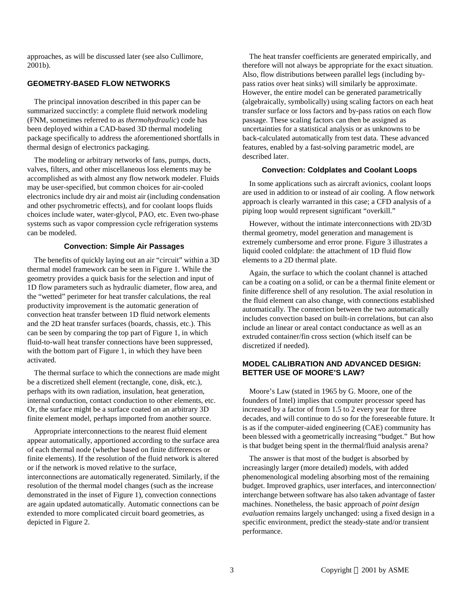approaches, as will be discussed later (see also Cullimore, 2001b).

# **GEOMETRY-BASED FLOW NETWORKS**

The principal innovation described in this paper can be summarized succinctly: a complete fluid network modeling (FNM, sometimes referred to as *thermohydraulic*) code has been deployed within a CAD-based 3D thermal modeling package specifically to address the aforementioned shortfalls in thermal design of electronics packaging.

The modeling or arbitrary networks of fans, pumps, ducts, valves, filters, and other miscellaneous loss elements may be accomplished as with almost any flow network modeler. Fluids may be user-specified, but common choices for air-cooled electronics include dry air and moist air (including condensation and other psychrometric effects), and for coolant loops fluids choices include water, water-glycol, PAO, etc. Even two-phase systems such as vapor compression cycle refrigeration systems can be modeled.

# **Convection: Simple Air Passages**

The benefits of quickly laying out an air "circuit" within a 3D thermal model framework can be seen in Figure 1. While the geometry provides a quick basis for the selection and input of 1D flow parameters such as hydraulic diameter, flow area, and the "wetted" perimeter for heat transfer calculations, the real productivity improvement is the automatic generation of convection heat transfer between 1D fluid network elements and the 2D heat transfer surfaces (boards, chassis, etc.). This can be seen by comparing the top part of Figure 1, in which fluid-to-wall heat transfer connections have been suppressed, with the bottom part of Figure 1, in which they have been activated.

The thermal surface to which the connections are made might be a discretized shell element (rectangle, cone, disk, etc.), perhaps with its own radiation, insulation, heat generation, internal conduction, contact conduction to other elements, etc. Or, the surface might be a surface coated on an arbitrary 3D finite element model, perhaps imported from another source.

Appropriate interconnections to the nearest fluid element appear automatically, apportioned according to the surface area of each thermal node (whether based on finite differences or finite elements). If the resolution of the fluid network is altered or if the network is moved relative to the surface, interconnections are automatically regenerated. Similarly, if the resolution of the thermal model changes (such as the increase demonstrated in the inset of Figure 1), convection connections are again updated automatically. Automatic connections can be extended to more complicated circuit board geometries, as depicted in Figure 2.

The heat transfer coefficients are generated empirically, and therefore will not always be appropriate for the exact situation. Also, flow distributions between parallel legs (including bypass ratios over heat sinks) will similarly be approximate. However, the entire model can be generated parametrically (algebraically, symbolically) using scaling factors on each heat transfer surface or loss factors and by-pass ratios on each flow passage. These scaling factors can then be assigned as uncertainties for a statistical analysis or as unknowns to be back-calculated automatically from test data. These advanced features, enabled by a fast-solving parametric model, are described later.

#### **Convection: Coldplates and Coolant Loops**

In some applications such as aircraft avionics, coolant loops are used in addition to or instead of air cooling. A flow network approach is clearly warranted in this case; a CFD analysis of a piping loop would represent significant "overkill."

However, without the intimate interconnections with 2D/3D thermal geometry, model generation and management is extremely cumbersome and error prone. Figure 3 illustrates a liquid cooled coldplate: the attachment of 1D fluid flow elements to a 2D thermal plate.

Again, the surface to which the coolant channel is attached can be a coating on a solid, or can be a thermal finite element or finite difference shell of any resolution. The axial resolution in the fluid element can also change, with connections established automatically. The connection between the two automatically includes convection based on built-in correlations, but can also include an linear or areal contact conductance as well as an extruded container/fin cross section (which itself can be discretized if needed).

# **MODEL CALIBRATION AND ADVANCED DESIGN: BETTER USE OF MOORE'S LAW?**

Moore's Law (stated in 1965 by G. Moore, one of the founders of Intel) implies that computer processor speed has increased by a factor of from 1.5 to 2 every year for three decades, and will continue to do so for the foreseeable future. It is as if the computer-aided engineering (CAE) community has been blessed with a geometrically increasing "budget." But how is that budget being spent in the thermal/fluid analysis arena?

The answer is that most of the budget is absorbed by increasingly larger (more detailed) models, with added phenomenological modeling absorbing most of the remaining budget. Improved graphics, user interfaces, and interconnection/ interchange between software has also taken advantage of faster machines. Nonetheless, the basic approach of *point design evaluation* remains largely unchanged: using a fixed design in a specific environment, predict the steady-state and/or transient performance.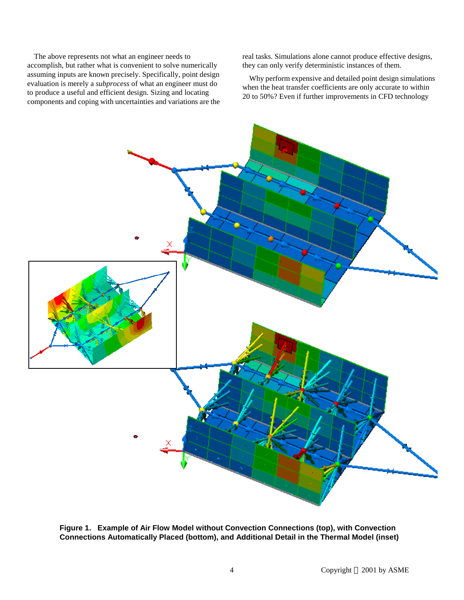The above represents not what an engineer needs to accomplish, but rather what is convenient to solve numerically assuming inputs are known precisely. Specifically, point design evaluation is merely a *subprocess* of what an engineer must do to produce a useful and efficient design. Sizing and locating components and coping with uncertainties and variations are the real tasks. Simulations alone cannot produce effective designs, they can only verify deterministic instances of them.

Why perform expensive and detailed point design simulations when the heat transfer coefficients are only accurate to within 20 to 50%? Even if further improvements in CFD technology



**Figure 1. Example of Air Flow Model without Convection Connections (top), with Convection Connections Automatically Placed (bottom), and Additional Detail in the Thermal Model (inset)**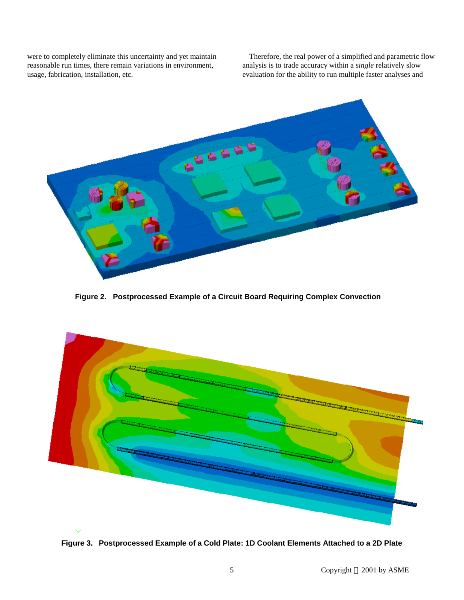were to completely eliminate this uncertainty and yet maintain reasonable run times, there remain variations in environment, usage, fabrication, installation, etc.

Therefore, the real power of a simplified and parametric flow analysis is to trade accuracy within a *single* relatively slow evaluation for the ability to run multiple faster analyses and



**Figure 2. Postprocessed Example of a Circuit Board Requiring Complex Convection**